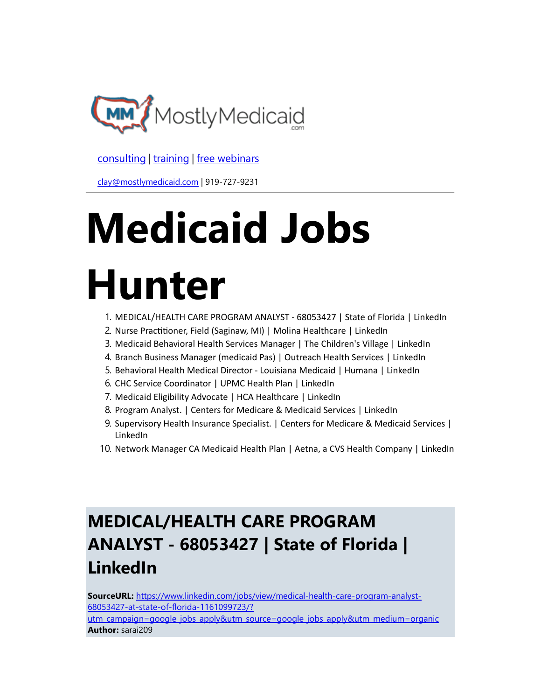

[consulting](http://bit.ly/2L815p0) | [training](http://bit.ly/2zL1l4r) | [free webinars](http://bit.ly/2ccl593) 

[clay@mostlymedicaid.com](mailto:clay@mostlymedicaid.com) | 919-727-9231

# Medicaid Jobs

# Hunter

- 1. MEDICAL/HEALTH CARE PROGRAM ANALYST 68053427 | State of Florida | LinkedIn
- 2. Nurse Practitioner, Field (Saginaw, MI) | Molina Healthcare | LinkedIn
- 3. Medicaid Behavioral Health Services Manager | The Children's Village | LinkedIn
- 4. Branch Business Manager (medicaid Pas) | Outreach Health Services | LinkedIn
- 5. Behavioral Health Medical Director Louisiana Medicaid | Humana | LinkedIn
- 6. CHC Service Coordinator | UPMC Health Plan | LinkedIn
- 7. Medicaid Eligibility Advocate | HCA Healthcare | LinkedIn
- 8. Program Analyst. | Centers for Medicare & Medicaid Services | LinkedIn
- 9. Supervisory Health Insurance Specialist. | Centers for Medicare & Medicaid Services | LinkedIn
- 10. Network Manager CA Medicaid Health Plan | Aetna, a CVS Health Company | LinkedIn

# MEDICAL/HEALTH CARE PROGRAM ANALYST - 68053427 | State of Florida | LinkedIn

SourceURL: https://www.linkedin.com/jobs/view/medical-health-care-program-analyst-68053427-at-state-of-florida-1161099723/? [utm\\_campaign=google\\_jobs\\_apply&utm\\_source=google\\_jobs\\_apply&utm\\_medium=organic](https://www.linkedin.com/jobs/view/medical-health-care-program-analyst-68053427-at-state-of-florida-1161099723/?utm_campaign=google_jobs_apply&utm_source=google_jobs_apply&utm_medium=organic) Author: sarai209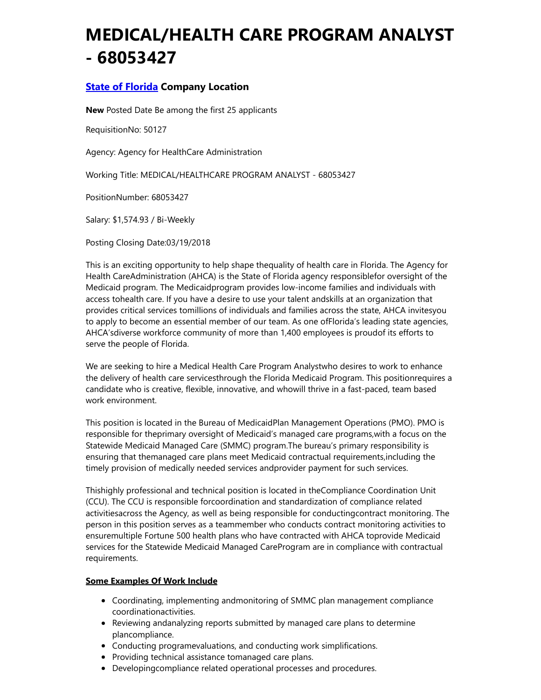### MEDICAL/HEALTH CARE PROGRAM ANALYST - 68053427

### **State of [Florida](https://www.linkedin.com/company/3944/) Company Location**

New Posted Date Be among the first 25 applicants

RequisitionNo: 50127

Agency: Agency for HealthCare Administration

Working Title: MEDICAL/HEALTHCARE PROGRAM ANALYST - 68053427

PositionNumber: 68053427

Salary: \$1,574.93 / Bi-Weekly

Posting Closing Date:03/19/2018

This is an exciting opportunity to help shape thequality of health care in Florida. The Agency for Health CareAdministration (AHCA) is the State of Florida agency responsiblefor oversight of the Medicaid program. The Medicaidprogram provides low-income families and individuals with access tohealth care. If you have a desire to use your talent andskills at an organization that provides critical services tomillions of individuals and families across the state, AHCA invitesyou to apply to become an essential member of our team. As one ofFlorida's leading state agencies, AHCA'sdiverse workforce community of more than 1,400 employees is proudof its efforts to serve the people of Florida.

We are seeking to hire a Medical Health Care Program Analystwho desires to work to enhance the delivery of health care servicesthrough the Florida Medicaid Program. This positionrequires a candidate who is creative, flexible, innovative, and whowill thrive in a fast-paced, team based work environment.

This position is located in the Bureau of MedicaidPlan Management Operations (PMO). PMO is responsible for theprimary oversight of Medicaid's managed care programs,with a focus on the Statewide Medicaid Managed Care (SMMC) program.The bureau's primary responsibility is ensuring that themanaged care plans meet Medicaid contractual requirements,including the timely provision of medically needed services andprovider payment for such services.

Thishighly professional and technical position is located in theCompliance Coordination Unit (CCU). The CCU is responsible forcoordination and standardization of compliance related activitiesacross the Agency, as well as being responsible for conductingcontract monitoring. The person in this position serves as a teammember who conducts contract monitoring activities to ensuremultiple Fortune 500 health plans who have contracted with AHCA toprovide Medicaid services for the Statewide Medicaid Managed CareProgram are in compliance with contractual requirements.

### Some Examples Of Work Include

- Coordinating, implementing andmonitoring of SMMC plan management compliance coordinationactivities.
- Reviewing andanalyzing reports submitted by managed care plans to determine plancompliance.
- Conducting programevaluations, and conducting work simplifications.
- Providing technical assistance tomanaged care plans.
- Developingcompliance related operational processes and procedures.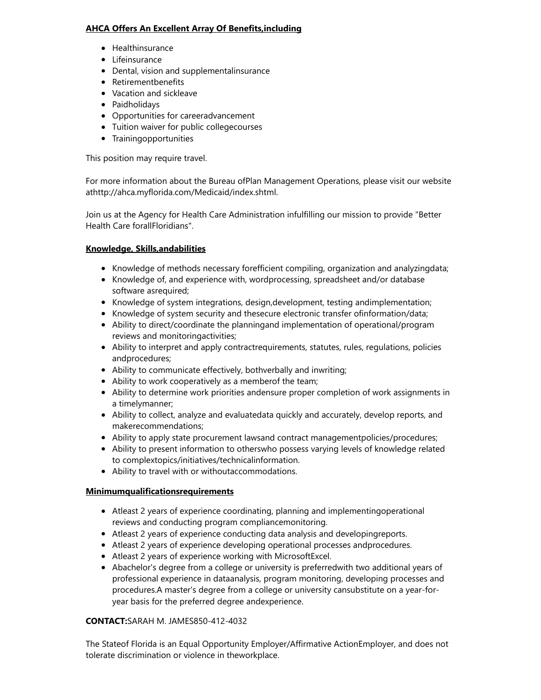### AHCA Offers An Excellent Array Of Benefits,including

- Healthinsurance
- Lifeinsurance
- Dental, vision and supplementalinsurance
- Retirementbenefits
- Vacation and sickleave
- Paidholidays
- Opportunities for careeradvancement
- Tuition waiver for public collegecourses
- Trainingopportunities

This position may require travel.

For more information about the Bureau ofPlan Management Operations, please visit our website athttp://ahca.myflorida.com/Medicaid/index.shtml.

Join us at the Agency for Health Care Administration infulfilling our mission to provide "Better Health Care forallFloridians".

### Knowledge, Skills,andabilities

- Knowledge of methods necessary forefficient compiling, organization and analyzingdata;
- Knowledge of, and experience with, wordprocessing, spreadsheet and/or database software asrequired;
- Knowledge of system integrations, design,development, testing andimplementation;
- Knowledge of system security and thesecure electronic transfer ofinformation/data;
- Ability to direct/coordinate the planningand implementation of operational/program reviews and monitoringactivities;
- Ability to interpret and apply contractrequirements, statutes, rules, regulations, policies andprocedures;
- Ability to communicate effectively, bothverbally and inwriting;
- Ability to work cooperatively as a memberof the team;
- Ability to determine work priorities andensure proper completion of work assignments in a timelymanner;
- Ability to collect, analyze and evaluatedata quickly and accurately, develop reports, and makerecommendations;
- Ability to apply state procurement lawsand contract managementpolicies/procedures;
- Ability to present information to otherswho possess varying levels of knowledge related to complextopics/initiatives/technicalinformation.
- Ability to travel with or withoutaccommodations.

### Minimumqualificationsrequirements

- Atleast 2 years of experience coordinating, planning and implementingoperational reviews and conducting program compliancemonitoring.
- Atleast 2 years of experience conducting data analysis and developingreports.
- Atleast 2 years of experience developing operational processes andprocedures.
- Atleast 2 years of experience working with MicrosoftExcel.
- Abachelor's degree from a college or university is preferredwith two additional years of professional experience in dataanalysis, program monitoring, developing processes and procedures.A master's degree from a college or university cansubstitute on a year-foryear basis for the preferred degree andexperience.

### CONTACT:SARAH M. JAMES850-412-4032

The Stateof Florida is an Equal Opportunity Employer/Affirmative ActionEmployer, and does not tolerate discrimination or violence in theworkplace.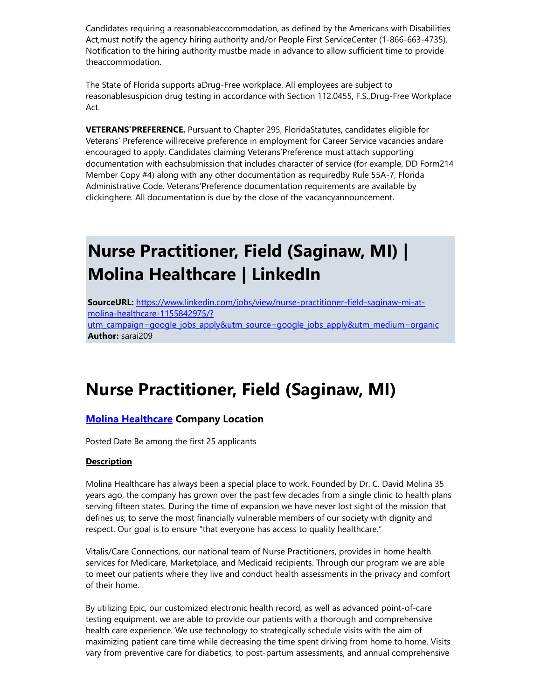Candidates requiring a reasonableaccommodation, as defined by the Americans with Disabilities Act,must notify the agency hiring authority and/or People First ServiceCenter (1-866-663-4735). Notification to the hiring authority mustbe made in advance to allow sufficient time to provide theaccommodation.

The State of Florida supports aDrug-Free workplace. All employees are subject to reasonablesuspicion drug testing in accordance with Section 112.0455, F.S.,Drug-Free Workplace Act.

VETERANS'PREFERENCE. Pursuant to Chapter 295, FloridaStatutes, candidates eligible for Veterans' Preference willreceive preference in employment for Career Service vacancies andare encouraged to apply. Candidates claiming Veterans'Preference must attach supporting documentation with eachsubmission that includes character of service (for example, DD Form214 Member Copy #4) along with any other documentation as requiredby Rule 55A-7, Florida Administrative Code. Veterans'Preference documentation requirements are available by clickinghere. All documentation is due by the close of the vacancyannouncement.

### Nurse Practitioner, Field (Saginaw, MI) | Molina Healthcare | LinkedIn

SourceURL: https://www.linkedin.com/jobs/view/nurse-practitioner-field-saginaw-mi-atmolina-healthcare-1155842975/? [utm\\_campaign=google\\_jobs\\_apply&utm\\_source=google\\_jobs\\_apply&utm\\_medium=organic](https://www.linkedin.com/jobs/view/nurse-practitioner-field-saginaw-mi-at-molina-healthcare-1155842975/?utm_campaign=google_jobs_apply&utm_source=google_jobs_apply&utm_medium=organic) Author: sarai209

### Nurse Practitioner, Field (Saginaw, MI)

### **Molina [Healthcare](https://www.linkedin.com/company/15283/) Company Location**

Posted Date Be among the first 25 applicants

#### **Description**

Molina Healthcare has always been a special place to work. Founded by Dr. C. David Molina 35 years ago, the company has grown over the past few decades from a single clinic to health plans serving fifteen states. During the time of expansion we have never lost sight of the mission that defines us; to serve the most financially vulnerable members of our society with dignity and respect. Our goal is to ensure "that everyone has access to quality healthcare."

Vitalis/Care Connections, our national team of Nurse Practitioners, provides in home health services for Medicare, Marketplace, and Medicaid recipients. Through our program we are able to meet our patients where they live and conduct health assessments in the privacy and comfort of their home.

By utilizing Epic, our customized electronic health record, as well as advanced point-of-care testing equipment, we are able to provide our patients with a thorough and comprehensive health care experience. We use technology to strategically schedule visits with the aim of maximizing patient care time while decreasing the time spent driving from home to home. Visits vary from preventive care for diabetics, to post-partum assessments, and annual comprehensive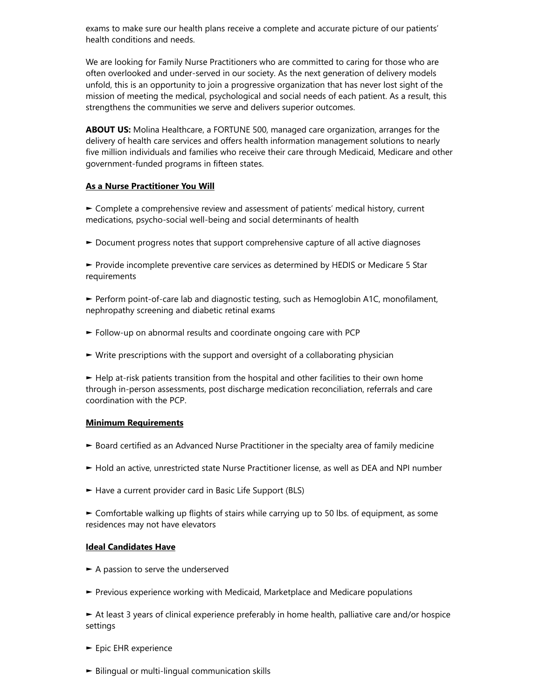exams to make sure our health plans receive a complete and accurate picture of our patients' health conditions and needs.

We are looking for Family Nurse Practitioners who are committed to caring for those who are often overlooked and under-served in our society. As the next generation of delivery models unfold, this is an opportunity to join a progressive organization that has never lost sight of the mission of meeting the medical, psychological and social needs of each patient. As a result, this strengthens the communities we serve and delivers superior outcomes.

ABOUT US: Molina Healthcare, a FORTUNE 500, managed care organization, arranges for the delivery of health care services and offers health information management solutions to nearly five million individuals and families who receive their care through Medicaid, Medicare and other government-funded programs in fifteen states.

#### As a Nurse Practitioner You Will

► Complete a comprehensive review and assessment of patients' medical history, current medications, psycho-social well-being and social determinants of health

► Document progress notes that support comprehensive capture of all active diagnoses

► Provide incomplete preventive care services as determined by HEDIS or Medicare 5 Star requirements

► Perform point-of-care lab and diagnostic testing, such as Hemoglobin A1C, monofilament, nephropathy screening and diabetic retinal exams

- ► Follow-up on abnormal results and coordinate ongoing care with PCP
- ► Write prescriptions with the support and oversight of a collaborating physician

► Help at-risk patients transition from the hospital and other facilities to their own home through in-person assessments, post discharge medication reconciliation, referrals and care coordination with the PCP.

#### Minimum Requirements

- ► Board certified as an Advanced Nurse Practitioner in the specialty area of family medicine
- ► Hold an active, unrestricted state Nurse Practitioner license, as well as DEA and NPI number
- ► Have a current provider card in Basic Life Support (BLS)

► Comfortable walking up flights of stairs while carrying up to 50 lbs. of equipment, as some residences may not have elevators

#### Ideal Candidates Have

- $\blacktriangleright$  A passion to serve the underserved
- ► Previous experience working with Medicaid, Marketplace and Medicare populations

► At least 3 years of clinical experience preferably in home health, palliative care and/or hospice settings

- ► Epic EHR experience
- ► Bilingual or multi-lingual communication skills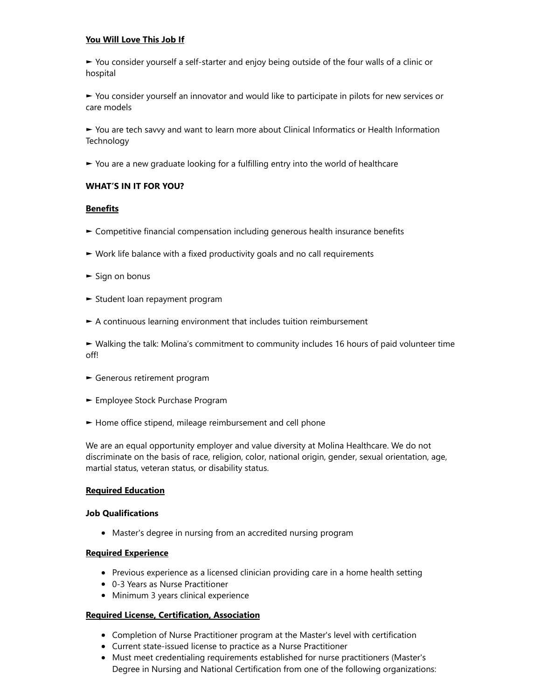### You Will Love This Job If

► You consider yourself a self-starter and enjoy being outside of the four walls of a clinic or hospital

► You consider yourself an innovator and would like to participate in pilots for new services or care models

► You are tech savvy and want to learn more about Clinical Informatics or Health Information **Technology** 

► You are a new graduate looking for a fulfilling entry into the world of healthcare

### WHAT'S IN IT FOR YOU?

### **Benefits**

- ► Competitive financial compensation including generous health insurance benefits
- ► Work life balance with a fixed productivity goals and no call requirements
- ► Sign on bonus
- ► Student loan repayment program
- ► A continuous learning environment that includes tuition reimbursement

► Walking the talk: Molina's commitment to community includes 16 hours of paid volunteer time off!

- ► Generous retirement program
- ► Employee Stock Purchase Program
- ► Home office stipend, mileage reimbursement and cell phone

We are an equal opportunity employer and value diversity at Molina Healthcare. We do not discriminate on the basis of race, religion, color, national origin, gender, sexual orientation, age, martial status, veteran status, or disability status.

#### Required Education

#### Job Qualifications

Master's degree in nursing from an accredited nursing program

### Required Experience

- Previous experience as a licensed clinician providing care in a home health setting
- 0-3 Years as Nurse Practitioner
- Minimum 3 years clinical experience

#### Required License, Certification, Association

- Completion of Nurse Practitioner program at the Master's level with certification
- Current state-issued license to practice as a Nurse Practitioner
- Must meet credentialing requirements established for nurse practitioners (Master's Degree in Nursing and National Certification from one of the following organizations: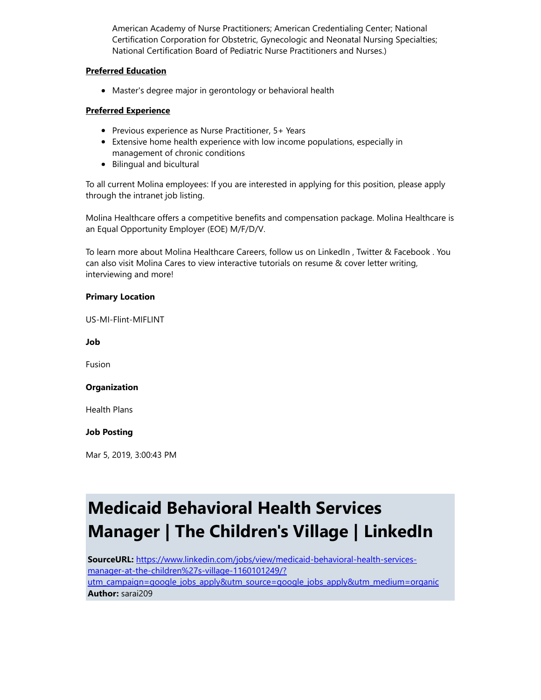American Academy of Nurse Practitioners; American Credentialing Center; National Certification Corporation for Obstetric, Gynecologic and Neonatal Nursing Specialties; National Certification Board of Pediatric Nurse Practitioners and Nurses.)

### Preferred Education

Master's degree major in gerontology or behavioral health

### Preferred Experience

- Previous experience as Nurse Practitioner, 5+ Years
- Extensive home health experience with low income populations, especially in management of chronic conditions
- Bilingual and bicultural

To all current Molina employees: If you are interested in applying for this position, please apply through the intranet job listing.

Molina Healthcare offers a competitive benefits and compensation package. Molina Healthcare is an Equal Opportunity Employer (EOE) M/F/D/V.

To learn more about Molina Healthcare Careers, follow us on LinkedIn , Twitter & Facebook . You can also visit Molina Cares to view interactive tutorials on resume & cover letter writing, interviewing and more!

### Primary Location

US-MI-Flint-MIFLINT

Job

Fusion

#### **Organization**

Health Plans

#### Job Posting

Mar 5, 2019, 3:00:43 PM

### Medicaid Behavioral Health Services Manager | The Children's Village | LinkedIn

SourceURL: https://www.linkedin.com/jobs/view/medicaid-behavioral-health-servicesmanager-at-the-children%27s-village-1160101249/? [utm\\_campaign=google\\_jobs\\_apply&utm\\_source=google\\_jobs\\_apply&utm\\_medium=organic](https://www.linkedin.com/jobs/view/medicaid-behavioral-health-services-manager-at-the-children%27s-village-1160101249/?utm_campaign=google_jobs_apply&utm_source=google_jobs_apply&utm_medium=organic) Author: sarai209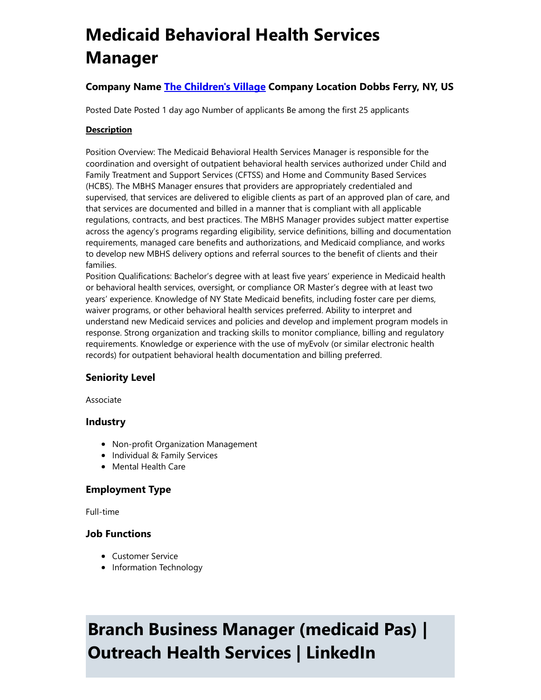## Medicaid Behavioral Health Services Manager

### Company Name The [Children's](https://www.linkedin.com/company/95511/) Village Company Location Dobbs Ferry, NY, US

Posted Date Posted 1 day ago Number of applicants Be among the first 25 applicants

### **Description**

Position Overview: The Medicaid Behavioral Health Services Manager is responsible for the coordination and oversight of outpatient behavioral health services authorized under Child and Family Treatment and Support Services (CFTSS) and Home and Community Based Services (HCBS). The MBHS Manager ensures that providers are appropriately credentialed and supervised, that services are delivered to eligible clients as part of an approved plan of care, and that services are documented and billed in a manner that is compliant with all applicable regulations, contracts, and best practices. The MBHS Manager provides subject matter expertise across the agency's programs regarding eligibility, service definitions, billing and documentation requirements, managed care benefits and authorizations, and Medicaid compliance, and works to develop new MBHS delivery options and referral sources to the benefit of clients and their families.

Position Qualifications: Bachelor's degree with at least five years' experience in Medicaid health or behavioral health services, oversight, or compliance OR Master's degree with at least two years' experience. Knowledge of NY State Medicaid benefits, including foster care per diems, waiver programs, or other behavioral health services preferred. Ability to interpret and understand new Medicaid services and policies and develop and implement program models in response. Strong organization and tracking skills to monitor compliance, billing and regulatory requirements. Knowledge or experience with the use of myEvolv (or similar electronic health records) for outpatient behavioral health documentation and billing preferred.

### Seniority Level

Associate

### Industry

- Non-profit Organization Management
- Individual & Family Services
- Mental Health Care

### Employment Type

Full-time

### Job Functions

- Customer Service
- Information Technology

## Branch Business Manager (medicaid Pas) | Outreach Health Services | LinkedIn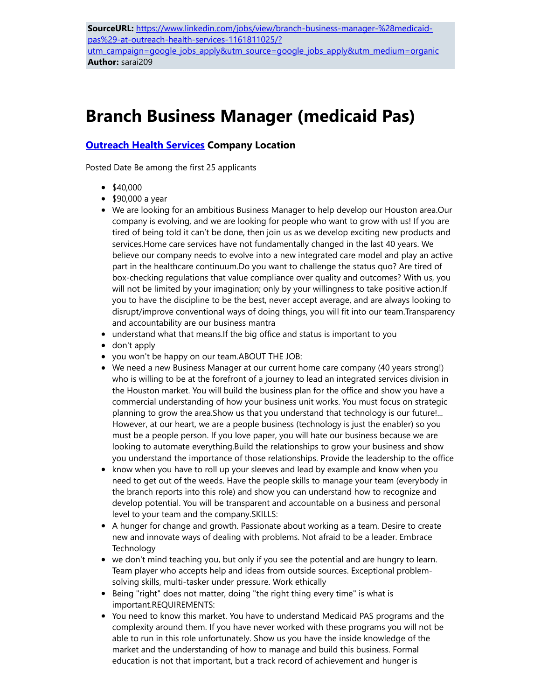[utm\\_campaign=google\\_jobs\\_apply&utm\\_source=google\\_jobs\\_apply&utm\\_medium=organic](https://www.linkedin.com/jobs/view/branch-business-manager-%28medicaid-pas%29-at-outreach-health-services-1161811025/?utm_campaign=google_jobs_apply&utm_source=google_jobs_apply&utm_medium=organic) Author: sarai209

### Branch Business Manager (medicaid Pas)

### **[Outreach](https://www.linkedin.com/company/990598/) Health Services Company Location**

Posted Date Be among the first 25 applicants

- $\bullet$  \$40,000
- \$90,000 a year
- We are looking for an ambitious Business Manager to help develop our Houston area.Our company is evolving, and we are looking for people who want to grow with us! If you are tired of being told it can't be done, then join us as we develop exciting new products and services.Home care services have not fundamentally changed in the last 40 years. We believe our company needs to evolve into a new integrated care model and play an active part in the healthcare continuum.Do you want to challenge the status quo? Are tired of box-checking regulations that value compliance over quality and outcomes? With us, you will not be limited by your imagination; only by your willingness to take positive action.If you to have the discipline to be the best, never accept average, and are always looking to disrupt/improve conventional ways of doing things, you will fit into our team.Transparency and accountability are our business mantra
- understand what that means.If the big office and status is important to you
- don't apply
- you won't be happy on our team.ABOUT THE JOB:
- We need a new Business Manager at our current home care company (40 years strong!) who is willing to be at the forefront of a journey to lead an integrated services division in the Houston market. You will build the business plan for the office and show you have a commercial understanding of how your business unit works. You must focus on strategic planning to grow the area.Show us that you understand that technology is our future!... However, at our heart, we are a people business (technology is just the enabler) so you must be a people person. If you love paper, you will hate our business because we are looking to automate everything.Build the relationships to grow your business and show you understand the importance of those relationships. Provide the leadership to the office
- know when you have to roll up your sleeves and lead by example and know when you need to get out of the weeds. Have the people skills to manage your team (everybody in the branch reports into this role) and show you can understand how to recognize and develop potential. You will be transparent and accountable on a business and personal level to your team and the company.SKILLS:
- A hunger for change and growth. Passionate about working as a team. Desire to create new and innovate ways of dealing with problems. Not afraid to be a leader. Embrace **Technology**
- we don't mind teaching you, but only if you see the potential and are hungry to learn. Team player who accepts help and ideas from outside sources. Exceptional problemsolving skills, multi-tasker under pressure. Work ethically
- Being "right" does not matter, doing "the right thing every time" is what is important.REQUIREMENTS:
- You need to know this market. You have to understand Medicaid PAS programs and the complexity around them. If you have never worked with these programs you will not be able to run in this role unfortunately. Show us you have the inside knowledge of the market and the understanding of how to manage and build this business. Formal education is not that important, but a track record of achievement and hunger is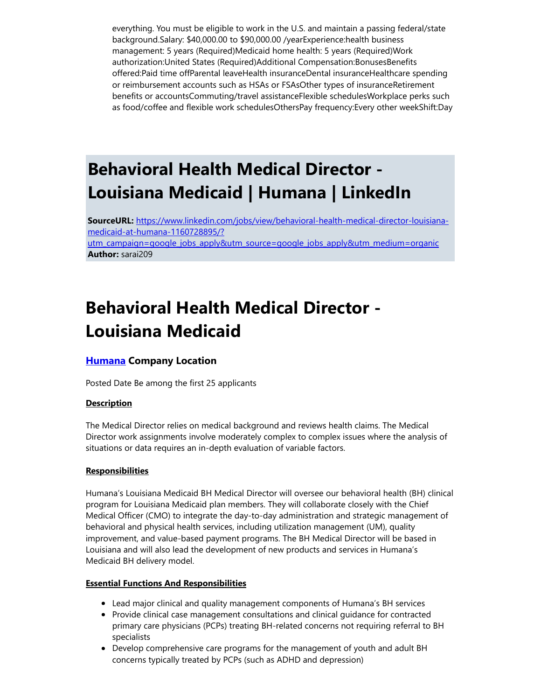everything. You must be eligible to work in the U.S. and maintain a passing federal/state background.Salary: \$40,000.00 to \$90,000.00 /yearExperience:health business management: 5 years (Required)Medicaid home health: 5 years (Required)Work authorization:United States (Required)Additional Compensation:BonusesBenefits offered:Paid time offParental leaveHealth insuranceDental insuranceHealthcare spending or reimbursement accounts such as HSAs or FSAsOther types of insuranceRetirement benefits or accountsCommuting/travel assistanceFlexible schedulesWorkplace perks such as food/coffee and flexible work schedulesOthersPay frequency:Every other weekShift:Day

### Behavioral Health Medical Director - Louisiana Medicaid | Humana | LinkedIn

SourceURL: https://www.linkedin.com/jobs/view/behavioral-health-medical-director-louisianamedicaid-at-humana-1160728895/?

[utm\\_campaign=google\\_jobs\\_apply&utm\\_source=google\\_jobs\\_apply&utm\\_medium=organic](https://www.linkedin.com/jobs/view/behavioral-health-medical-director-louisiana-medicaid-at-humana-1160728895/?utm_campaign=google_jobs_apply&utm_source=google_jobs_apply&utm_medium=organic) Author: sarai209

### Behavioral Health Medical Director - Louisiana Medicaid

### **[Humana](https://www.linkedin.com/company/4257/) Company Location**

Posted Date Be among the first 25 applicants

### **Description**

The Medical Director relies on medical background and reviews health claims. The Medical Director work assignments involve moderately complex to complex issues where the analysis of situations or data requires an in-depth evaluation of variable factors.

### **Responsibilities**

Humana's Louisiana Medicaid BH Medical Director will oversee our behavioral health (BH) clinical program for Louisiana Medicaid plan members. They will collaborate closely with the Chief Medical Officer (CMO) to integrate the day-to-day administration and strategic management of behavioral and physical health services, including utilization management (UM), quality improvement, and value-based payment programs. The BH Medical Director will be based in Louisiana and will also lead the development of new products and services in Humana's Medicaid BH delivery model.

### Essential Functions And Responsibilities

- Lead major clinical and quality management components of Humana's BH services
- Provide clinical case management consultations and clinical guidance for contracted primary care physicians (PCPs) treating BH-related concerns not requiring referral to BH specialists
- Develop comprehensive care programs for the management of youth and adult BH concerns typically treated by PCPs (such as ADHD and depression)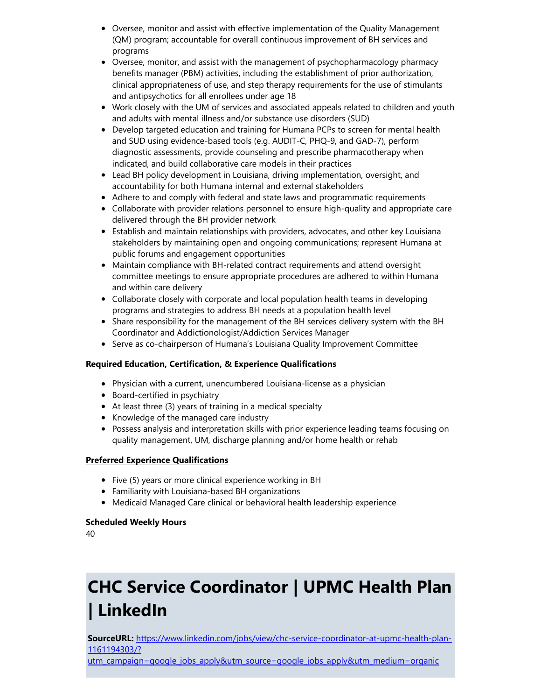- Oversee, monitor and assist with effective implementation of the Quality Management (QM) program; accountable for overall continuous improvement of BH services and programs
- Oversee, monitor, and assist with the management of psychopharmacology pharmacy benefits manager (PBM) activities, including the establishment of prior authorization, clinical appropriateness of use, and step therapy requirements for the use of stimulants and antipsychotics for all enrollees under age 18
- Work closely with the UM of services and associated appeals related to children and youth and adults with mental illness and/or substance use disorders (SUD)
- Develop targeted education and training for Humana PCPs to screen for mental health and SUD using evidence-based tools (e.g. AUDIT-C, PHQ-9, and GAD-7), perform diagnostic assessments, provide counseling and prescribe pharmacotherapy when indicated, and build collaborative care models in their practices
- Lead BH policy development in Louisiana, driving implementation, oversight, and accountability for both Humana internal and external stakeholders
- Adhere to and comply with federal and state laws and programmatic requirements
- Collaborate with provider relations personnel to ensure high-quality and appropriate care delivered through the BH provider network
- Establish and maintain relationships with providers, advocates, and other key Louisiana stakeholders by maintaining open and ongoing communications; represent Humana at public forums and engagement opportunities
- Maintain compliance with BH-related contract requirements and attend oversight committee meetings to ensure appropriate procedures are adhered to within Humana and within care delivery
- Collaborate closely with corporate and local population health teams in developing programs and strategies to address BH needs at a population health level
- Share responsibility for the management of the BH services delivery system with the BH Coordinator and Addictionologist/Addiction Services Manager
- Serve as co-chairperson of Humana's Louisiana Quality Improvement Committee

### Required Education, Certification, & Experience Qualifications

- Physician with a current, unencumbered Louisiana-license as a physician
- Board-certified in psychiatry
- At least three (3) years of training in a medical specialty
- Knowledge of the managed care industry
- Possess analysis and interpretation skills with prior experience leading teams focusing on quality management, UM, discharge planning and/or home health or rehab

### Preferred Experience Qualifications

- Five (5) years or more clinical experience working in BH
- Familiarity with Louisiana-based BH organizations
- Medicaid Managed Care clinical or behavioral health leadership experience

### Scheduled Weekly Hours

40

# CHC Service Coordinator | UPMC Health Plan | LinkedIn

SourceURL: https://www.linkedin.com/jobs/view/chc-service-coordinator-at-upmc-health-plan-1161194303/?

[utm\\_campaign=google\\_jobs\\_apply&utm\\_source=google\\_jobs\\_apply&utm\\_medium=organic](https://www.linkedin.com/jobs/view/chc-service-coordinator-at-upmc-health-plan-1161194303/?utm_campaign=google_jobs_apply&utm_source=google_jobs_apply&utm_medium=organic)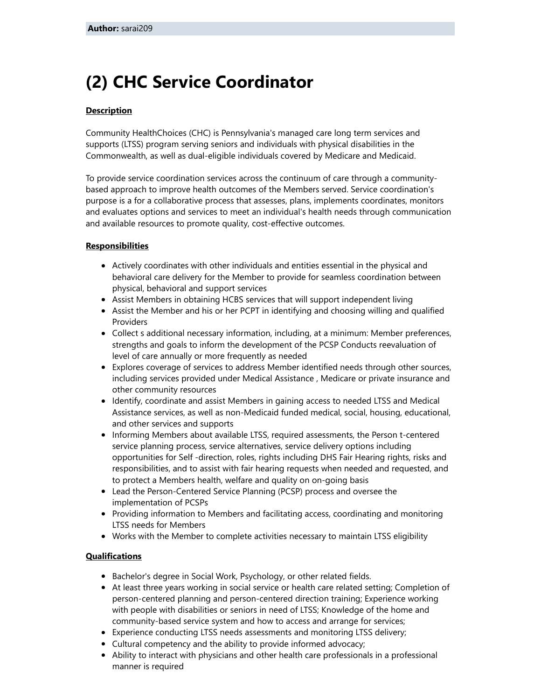### (2) CHC Service Coordinator

### **Description**

Community HealthChoices (CHC) is Pennsylvania's managed care long term services and supports (LTSS) program serving seniors and individuals with physical disabilities in the Commonwealth, as well as dual-eligible individuals covered by Medicare and Medicaid.

To provide service coordination services across the continuum of care through a communitybased approach to improve health outcomes of the Members served. Service coordination's purpose is a for a collaborative process that assesses, plans, implements coordinates, monitors and evaluates options and services to meet an individual's health needs through communication and available resources to promote quality, cost-effective outcomes.

### **Responsibilities**

- Actively coordinates with other individuals and entities essential in the physical and behavioral care delivery for the Member to provide for seamless coordination between physical, behavioral and support services
- Assist Members in obtaining HCBS services that will support independent living
- Assist the Member and his or her PCPT in identifying and choosing willing and qualified Providers
- Collect s additional necessary information, including, at a minimum: Member preferences, strengths and goals to inform the development of the PCSP Conducts reevaluation of level of care annually or more frequently as needed
- Explores coverage of services to address Member identified needs through other sources, including services provided under Medical Assistance , Medicare or private insurance and other community resources
- Identify, coordinate and assist Members in gaining access to needed LTSS and Medical Assistance services, as well as non-Medicaid funded medical, social, housing, educational, and other services and supports
- Informing Members about available LTSS, required assessments, the Person t-centered service planning process, service alternatives, service delivery options including opportunities for Self -direction, roles, rights including DHS Fair Hearing rights, risks and responsibilities, and to assist with fair hearing requests when needed and requested, and to protect a Members health, welfare and quality on on-going basis
- Lead the Person-Centered Service Planning (PCSP) process and oversee the implementation of PCSPs
- Providing information to Members and facilitating access, coordinating and monitoring LTSS needs for Members
- Works with the Member to complete activities necessary to maintain LTSS eligibility

### **Qualifications**

- Bachelor's degree in Social Work, Psychology, or other related fields.
- At least three years working in social service or health care related setting; Completion of person-centered planning and person-centered direction training; Experience working with people with disabilities or seniors in need of LTSS; Knowledge of the home and community-based service system and how to access and arrange for services;
- Experience conducting LTSS needs assessments and monitoring LTSS delivery;
- Cultural competency and the ability to provide informed advocacy;
- Ability to interact with physicians and other health care professionals in a professional manner is required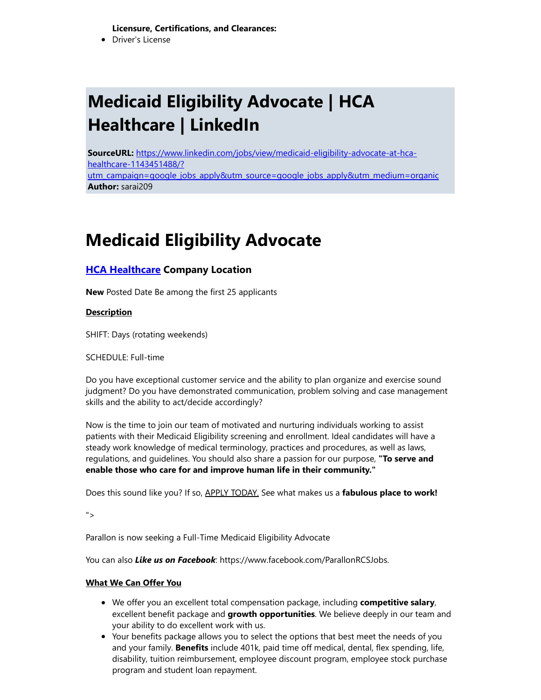Licensure, Certifications, and Clearances:

Driver's License

# Medicaid Eligibility Advocate | HCA Healthcare | LinkedIn

SourceURL: https://www.linkedin.com/jobs/view/medicaid-eligibility-advocate-at-hcahealthcare-1143451488/? [utm\\_campaign=google\\_jobs\\_apply&utm\\_source=google\\_jobs\\_apply&utm\\_medium=organic](https://www.linkedin.com/jobs/view/medicaid-eligibility-advocate-at-hca-healthcare-1143451488/?utm_campaign=google_jobs_apply&utm_source=google_jobs_apply&utm_medium=organic) Author: sarai209

### Medicaid Eligibility Advocate

### **HCA [Healthcare](https://www.linkedin.com/company/3626/) Company Location**

New Posted Date Be among the first 25 applicants

**Description** 

SHIFT: Days (rotating weekends)

SCHEDULE: Full-time

Do you have exceptional customer service and the ability to plan organize and exercise sound judgment? Do you have demonstrated communication, problem solving and case management skills and the ability to act/decide accordingly?

Now is the time to join our team of motivated and nurturing individuals working to assist patients with their Medicaid Eligibility screening and enrollment. Ideal candidates will have a steady work knowledge of medical terminology, practices and procedures, as well as laws, regulations, and guidelines. You should also share a passion for our purpose, "To serve and enable those who care for and improve human life in their community."

Does this sound like you? If so, APPLY TODAY. See what makes us a fabulous place to work!

">

Parallon is now seeking a Full-Time Medicaid Eligibility Advocate

You can also Like us on Facebook: https://www.facebook.com/ParallonRCSJobs.

### What We Can Offer You

- We offer you an excellent total compensation package, including **competitive salary**, excellent benefit package and **growth opportunities**. We believe deeply in our team and your ability to do excellent work with us.
- Your benefits package allows you to select the options that best meet the needs of you and your family. **Benefits** include 401k, paid time off medical, dental, flex spending, life, disability, tuition reimbursement, employee discount program, employee stock purchase program and student loan repayment.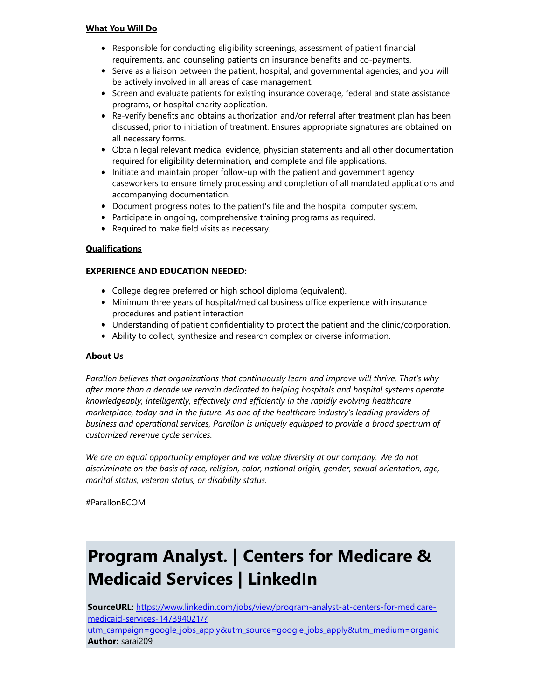#### What You Will Do

- Responsible for conducting eligibility screenings, assessment of patient financial requirements, and counseling patients on insurance benefits and co-payments.
- Serve as a liaison between the patient, hospital, and governmental agencies; and you will be actively involved in all areas of case management.
- Screen and evaluate patients for existing insurance coverage, federal and state assistance programs, or hospital charity application.
- Re-verify benefits and obtains authorization and/or referral after treatment plan has been discussed, prior to initiation of treatment. Ensures appropriate signatures are obtained on all necessary forms.
- Obtain legal relevant medical evidence, physician statements and all other documentation required for eligibility determination, and complete and file applications.
- Initiate and maintain proper follow-up with the patient and government agency caseworkers to ensure timely processing and completion of all mandated applications and accompanying documentation.
- Document progress notes to the patient's file and the hospital computer system.
- Participate in ongoing, comprehensive training programs as required.
- Required to make field visits as necessary.

#### **Qualifications**

### EXPERIENCE AND EDUCATION NEEDED:

- College degree preferred or high school diploma (equivalent).
- Minimum three years of hospital/medical business office experience with insurance procedures and patient interaction
- Understanding of patient confidentiality to protect the patient and the clinic/corporation.
- Ability to collect, synthesize and research complex or diverse information.

#### About Us

Parallon believes that organizations that continuously learn and improve will thrive. That's why after more than a decade we remain dedicated to helping hospitals and hospital systems operate knowledgeably, intelligently, effectively and efficiently in the rapidly evolving healthcare marketplace, today and in the future. As one of the healthcare industry's leading providers of business and operational services, Parallon is uniquely equipped to provide a broad spectrum of customized revenue cycle services.

We are an equal opportunity employer and we value diversity at our company. We do not discriminate on the basis of race, religion, color, national origin, gender, sexual orientation, age, marital status, veteran status, or disability status.

#ParallonBCOM

### Program Analyst. | Centers for Medicare & Medicaid Services | LinkedIn

SourceURL: https://www.linkedin.com/jobs/view/program-analyst-at-centers-for-medicaremedicaid-services-147394021/? [utm\\_campaign=google\\_jobs\\_apply&utm\\_source=google\\_jobs\\_apply&utm\\_medium=organic](https://www.linkedin.com/jobs/view/program-analyst-at-centers-for-medicare-medicaid-services-147394021/?utm_campaign=google_jobs_apply&utm_source=google_jobs_apply&utm_medium=organic) Author: sarai209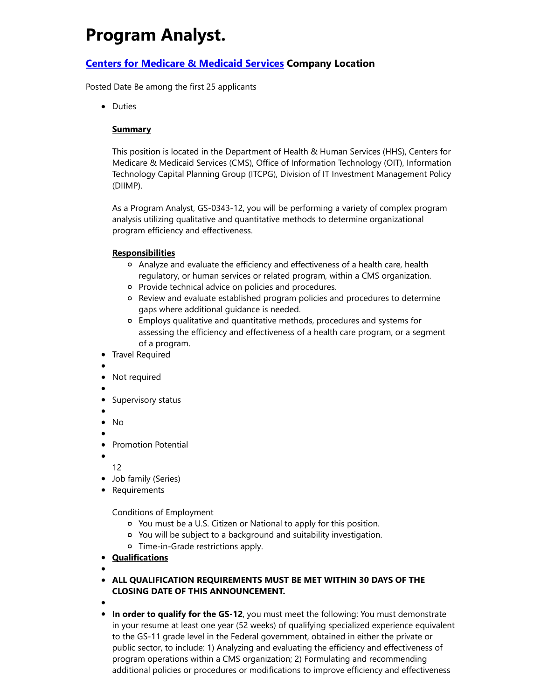### Program Analyst.

### Centers for [Medicare](https://www.linkedin.com/company/4653/) & Medicaid Services Company Location

Posted Date Be among the first 25 applicants

• Duties

### **Summary**

This position is located in the Department of Health & Human Services (HHS), Centers for Medicare & Medicaid Services (CMS), Office of Information Technology (OIT), Information Technology Capital Planning Group (ITCPG), Division of IT Investment Management Policy (DIIMP).

As a Program Analyst, GS-0343-12, you will be performing a variety of complex program analysis utilizing qualitative and quantitative methods to determine organizational program efficiency and effectiveness.

### **Responsibilities**

- Analyze and evaluate the efficiency and effectiveness of a health care, health regulatory, or human services or related program, within a CMS organization.
- o Provide technical advice on policies and procedures.
- Review and evaluate established program policies and procedures to determine gaps where additional guidance is needed.
- Employs qualitative and quantitative methods, procedures and systems for assessing the efficiency and effectiveness of a health care program, or a segment of a program.
- Travel Required
- 
- Not required
- 
- Supervisory status
- 
- No
- Promotion Potential
- 

12

- Job family (Series)
- Requirements

Conditions of Employment

- You must be a U.S. Citizen or National to apply for this position.
- You will be subject to a background and suitability investigation.
- Time-in-Grade restrictions apply.
- Qualifications
- 
- **ALL QUALIFICATION REQUIREMENTS MUST BE MET WITHIN 30 DAYS OF THE** CLOSING DATE OF THIS ANNOUNCEMENT.
- 
- In order to qualify for the GS-12, you must meet the following: You must demonstrate in your resume at least one year (52 weeks) of qualifying specialized experience equivalent to the GS-11 grade level in the Federal government, obtained in either the private or public sector, to include: 1) Analyzing and evaluating the efficiency and effectiveness of program operations within a CMS organization; 2) Formulating and recommending additional policies or procedures or modifications to improve efficiency and effectiveness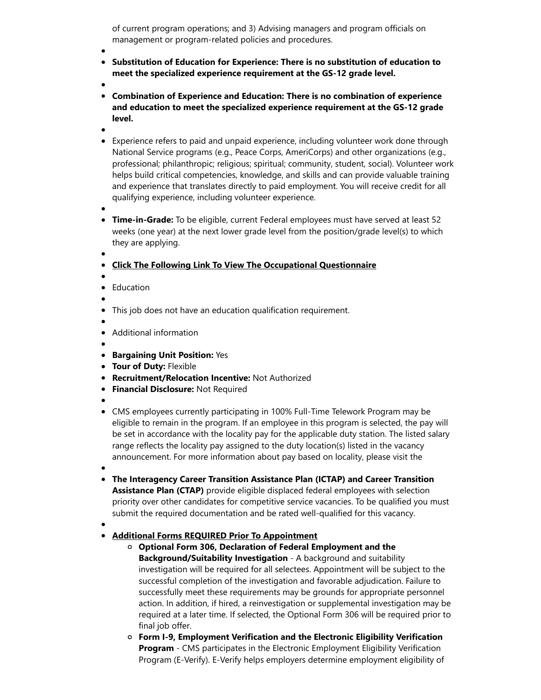of current program operations; and 3) Advising managers and program officials on management or program-related policies and procedures.

- Substitution of Education for Experience: There is no substitution of education to meet the specialized experience requirement at the GS-12 grade level.
- 
- Combination of Experience and Education: There is no combination of experience and education to meet the specialized experience requirement at the GS-12 grade level.
- 
- Experience refers to paid and unpaid experience, including volunteer work done through National Service programs (e.g., Peace Corps, AmeriCorps) and other organizations (e.g., professional; philanthropic; religious; spiritual; community, student, social). Volunteer work helps build critical competencies, knowledge, and skills and can provide valuable training and experience that translates directly to paid employment. You will receive credit for all qualifying experience, including volunteer experience.
- 
- **Time-in-Grade:** To be eligible, current Federal employees must have served at least 52 weeks (one year) at the next lower grade level from the position/grade level(s) to which they are applying.
- 

### Click The Following Link To View The Occupational Questionnaire

- 
- **•** Education
- 
- This job does not have an education qualification requirement.
- Additional information
- 
- **Bargaining Unit Position: Yes**
- **Tour of Duty: Flexible**
- Recruitment/Relocation Incentive: Not Authorized
- **Financial Disclosure: Not Required**
- 
- CMS employees currently participating in 100% Full-Time Telework Program may be eligible to remain in the program. If an employee in this program is selected, the pay will be set in accordance with the locality pay for the applicable duty station. The listed salary range reflects the locality pay assigned to the duty location(s) listed in the vacancy announcement. For more information about pay based on locality, please visit the
- 
- The Interagency Career Transition Assistance Plan (ICTAP) and Career Transition

Assistance Plan (CTAP) provide eligible displaced federal employees with selection priority over other candidates for competitive service vacancies. To be qualified you must submit the required documentation and be rated well-qualified for this vacancy.

### Additional Forms REQUIRED Prior To Appointment

- $\circ$  Optional Form 306, Declaration of Federal Employment and the Background/Suitability Investigation - A background and suitability investigation will be required for all selectees. Appointment will be subject to the successful completion of the investigation and favorable adjudication. Failure to successfully meet these requirements may be grounds for appropriate personnel action. In addition, if hired, a reinvestigation or supplemental investigation may be required at a later time. If selected, the Optional Form 306 will be required prior to final job offer.
- Form I-9, Employment Verification and the Electronic Eligibility Verification **Program** - CMS participates in the Electronic Employment Eligibility Verification Program (E-Verify). E-Verify helps employers determine employment eligibility of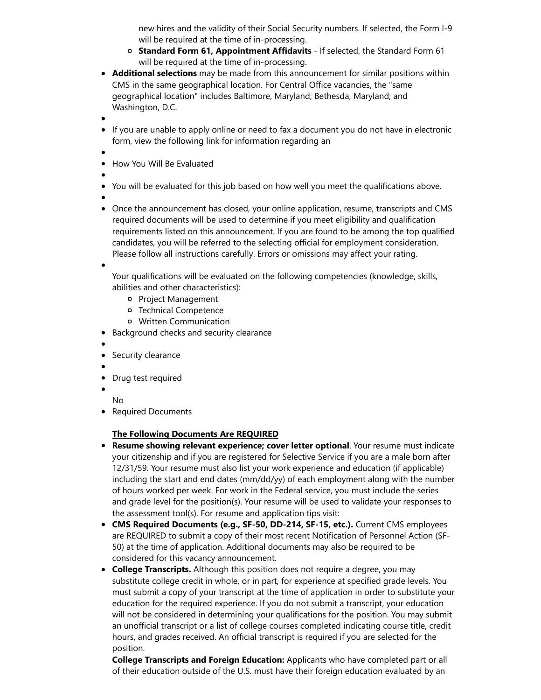new hires and the validity of their Social Security numbers. If selected, the Form I-9 will be required at the time of in-processing.

- o Standard Form 61, Appointment Affidavits If selected, the Standard Form 61 will be required at the time of in-processing.
- Additional selections may be made from this announcement for similar positions within CMS in the same geographical location. For Central Office vacancies, the "same geographical location" includes Baltimore, Maryland; Bethesda, Maryland; and Washington, D.C.
- 
- If you are unable to apply online or need to fax a document you do not have in electronic form, view the following link for information regarding an
- 
- How You Will Be Evaluated
- 
- You will be evaluated for this job based on how well you meet the qualifications above.
- 
- Once the announcement has closed, your online application, resume, transcripts and CMS required documents will be used to determine if you meet eligibility and qualification requirements listed on this announcement. If you are found to be among the top qualified candidates, you will be referred to the selecting official for employment consideration. Please follow all instructions carefully. Errors or omissions may affect your rating.

Your qualifications will be evaluated on the following competencies (knowledge, skills, abilities and other characteristics):

- o Project Management
- Technical Competence
- Written Communication
- Background checks and security clearance
- 
- Security clearance
- 
- Drug test required
- 
- No
- Required Documents

### The Following Documents Are REQUIRED

- Resume showing relevant experience; cover letter optional. Your resume must indicate your citizenship and if you are registered for Selective Service if you are a male born after 12/31/59. Your resume must also list your work experience and education (if applicable) including the start and end dates (mm/dd/yy) of each employment along with the number of hours worked per week. For work in the Federal service, you must include the series and grade level for the position(s). Your resume will be used to validate your responses to the assessment tool(s). For resume and application tips visit:
- **CMS Required Documents (e.g., SF-50, DD-214, SF-15, etc.).** Current CMS employees are REQUIRED to submit a copy of their most recent Notification of Personnel Action (SF-50) at the time of application. Additional documents may also be required to be considered for this vacancy announcement.
- College Transcripts. Although this position does not require a degree, you may substitute college credit in whole, or in part, for experience at specified grade levels. You must submit a copy of your transcript at the time of application in order to substitute your education for the required experience. If you do not submit a transcript, your education will not be considered in determining your qualifications for the position. You may submit an unofficial transcript or a list of college courses completed indicating course title, credit hours, and grades received. An official transcript is required if you are selected for the position.

College Transcripts and Foreign Education: Applicants who have completed part or all of their education outside of the U.S. must have their foreign education evaluated by an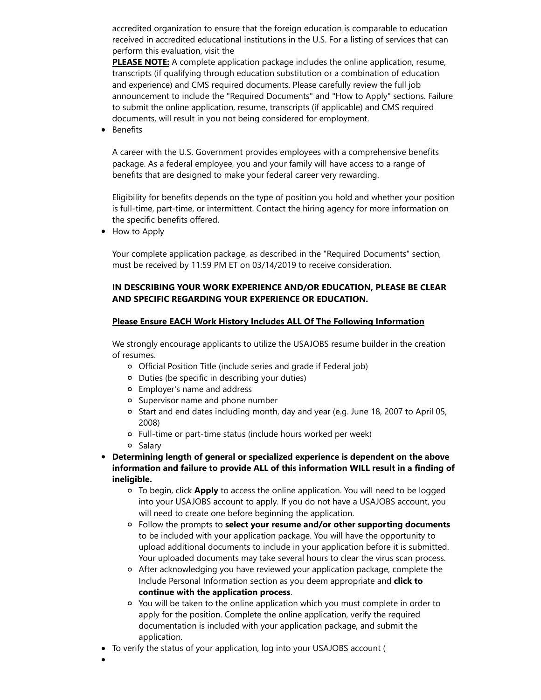accredited organization to ensure that the foreign education is comparable to education received in accredited educational institutions in the U.S. For a listing of services that can perform this evaluation, visit the

**PLEASE NOTE:** A complete application package includes the online application, resume, transcripts (if qualifying through education substitution or a combination of education and experience) and CMS required documents. Please carefully review the full job announcement to include the "Required Documents" and "How to Apply" sections. Failure to submit the online application, resume, transcripts (if applicable) and CMS required documents, will result in you not being considered for employment.

Benefits  $\bullet$ 

> A career with the U.S. Government provides employees with a comprehensive benefits package. As a federal employee, you and your family will have access to a range of benefits that are designed to make your federal career very rewarding.

Eligibility for benefits depends on the type of position you hold and whether your position is full-time, part-time, or intermittent. Contact the hiring agency for more information on the specific benefits offered.

• How to Apply

Your complete application package, as described in the "Required Documents" section, must be received by 11:59 PM ET on 03/14/2019 to receive consideration.

### IN DESCRIBING YOUR WORK EXPERIENCE AND/OR EDUCATION, PLEASE BE CLEAR AND SPECIFIC REGARDING YOUR EXPERIENCE OR EDUCATION.

#### Please Ensure EACH Work History Includes ALL Of The Following Information

We strongly encourage applicants to utilize the USAJOBS resume builder in the creation of resumes.

- Official Position Title (include series and grade if Federal job)
- Duties (be specific in describing your duties)
- Employer's name and address
- Supervisor name and phone number
- o Start and end dates including month, day and year (e.g. June 18, 2007 to April 05, 2008)
- Full-time or part-time status (include hours worked per week)
- o Salary
- Determining length of general or specialized experience is dependent on the above information and failure to provide ALL of this information WILL result in a finding of ineligible.
	- o To begin, click Apply to access the online application. You will need to be logged into your USAJOBS account to apply. If you do not have a USAJOBS account, you will need to create one before beginning the application.
	- $\circ$  Follow the prompts to select your resume and/or other supporting documents to be included with your application package. You will have the opportunity to upload additional documents to include in your application before it is submitted. Your uploaded documents may take several hours to clear the virus scan process.
	- After acknowledging you have reviewed your application package, complete the Include Personal Information section as you deem appropriate and click to continue with the application process.
	- You will be taken to the online application which you must complete in order to apply for the position. Complete the online application, verify the required documentation is included with your application package, and submit the application.
- To verify the status of your application, log into your USAJOBS account (
-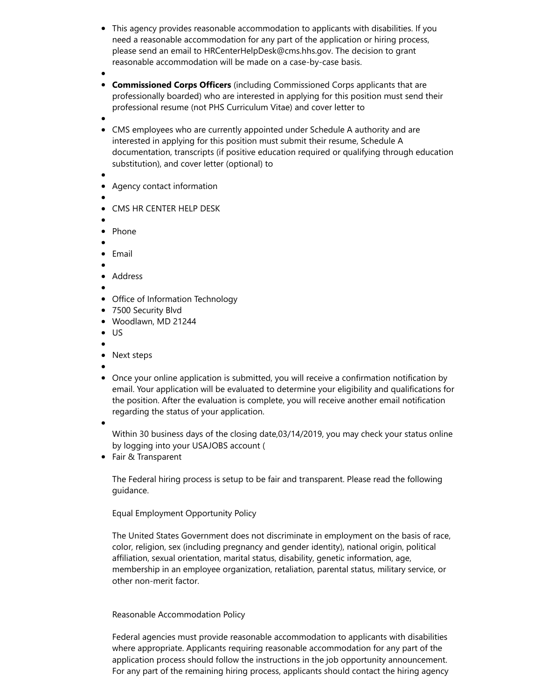- This agency provides reasonable accommodation to applicants with disabilities. If you need a reasonable accommodation for any part of the application or hiring process, please send an email to HRCenterHelpDesk@cms.hhs.gov. The decision to grant reasonable accommodation will be made on a case-by-case basis.
- 
- **Commissioned Corps Officers** (including Commissioned Corps applicants that are professionally boarded) who are interested in applying for this position must send their professional resume (not PHS Curriculum Vitae) and cover letter to
- 
- CMS employees who are currently appointed under Schedule A authority and are interested in applying for this position must submit their resume, Schedule A documentation, transcripts (if positive education required or qualifying through education substitution), and cover letter (optional) to
- 
- Agency contact information
- 
- CMS HR CENTER HELP DESK
- 
- Phone
- Email
- 
- Address
- 
- Office of Information Technology
- 7500 Security Blvd
- Woodlawn, MD 21244
- $\bullet$  US
- 
- Next steps
- 
- Once your online application is submitted, you will receive a confirmation notification by email. Your application will be evaluated to determine your eligibility and qualifications for the position. After the evaluation is complete, you will receive another email notification regarding the status of your application.
- 

Within 30 business days of the closing date,03/14/2019, you may check your status online by logging into your USAJOBS account (

• Fair & Transparent

The Federal hiring process is setup to be fair and transparent. Please read the following guidance.

Equal Employment Opportunity Policy

The United States Government does not discriminate in employment on the basis of race, color, religion, sex (including pregnancy and gender identity), national origin, political affiliation, sexual orientation, marital status, disability, genetic information, age, membership in an employee organization, retaliation, parental status, military service, or other non-merit factor.

### Reasonable Accommodation Policy

Federal agencies must provide reasonable accommodation to applicants with disabilities where appropriate. Applicants requiring reasonable accommodation for any part of the application process should follow the instructions in the job opportunity announcement. For any part of the remaining hiring process, applicants should contact the hiring agency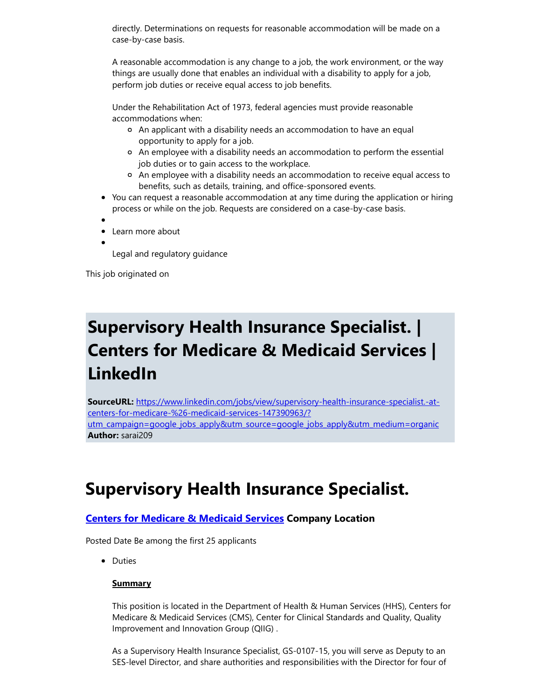directly. Determinations on requests for reasonable accommodation will be made on a case-by-case basis.

A reasonable accommodation is any change to a job, the work environment, or the way things are usually done that enables an individual with a disability to apply for a job, perform job duties or receive equal access to job benefits.

Under the Rehabilitation Act of 1973, federal agencies must provide reasonable accommodations when:

- An applicant with a disability needs an accommodation to have an equal opportunity to apply for a job.
- An employee with a disability needs an accommodation to perform the essential job duties or to gain access to the workplace.
- An employee with a disability needs an accommodation to receive equal access to benefits, such as details, training, and office-sponsored events.
- You can request a reasonable accommodation at any time during the application or hiring process or while on the job. Requests are considered on a case-by-case basis.
- 
- Learn more about
	- Legal and regulatory guidance

This job originated on

### Supervisory Health Insurance Specialist. | Centers for Medicare & Medicaid Services | LinkedIn

SourceURL: https://www.linkedin.com/jobs/view/supervisory-health-insurance-specialist.-atcenters-for-medicare-%26-medicaid-services-147390963/? [utm\\_campaign=google\\_jobs\\_apply&utm\\_source=google\\_jobs\\_apply&utm\\_medium=organic](https://www.linkedin.com/jobs/view/supervisory-health-insurance-specialist.-at-centers-for-medicare-%26-medicaid-services-147390963/?utm_campaign=google_jobs_apply&utm_source=google_jobs_apply&utm_medium=organic) Author: sarai209

### Supervisory Health Insurance Specialist.

### **Centers for [Medicare](https://www.linkedin.com/company/4653/) & Medicaid Services Company Location**

Posted Date Be among the first 25 applicants

• Duties

### **Summary**

This position is located in the Department of Health & Human Services (HHS), Centers for Medicare & Medicaid Services (CMS), Center for Clinical Standards and Quality, Quality Improvement and Innovation Group (QIIG) .

As a Supervisory Health Insurance Specialist, GS-0107-15, you will serve as Deputy to an SES-level Director, and share authorities and responsibilities with the Director for four of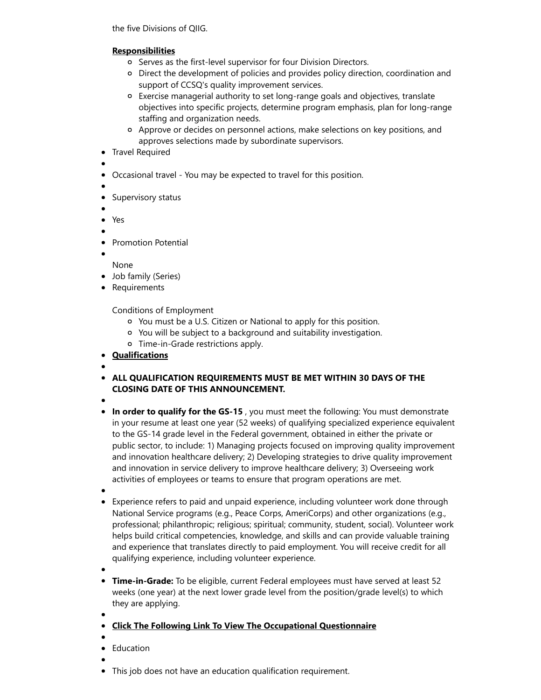the five Divisions of QIIG.

### **Responsibilities**

- o Serves as the first-level supervisor for four Division Directors.
- Direct the development of policies and provides policy direction, coordination and support of CCSQ's quality improvement services.
- Exercise managerial authority to set long-range goals and objectives, translate objectives into specific projects, determine program emphasis, plan for long-range staffing and organization needs.
- Approve or decides on personnel actions, make selections on key positions, and approves selections made by subordinate supervisors.
- Travel Required
- 
- Occasional travel You may be expected to travel for this position.
- 
- Supervisory status
- 
- Yes
- 
- Promotion Potential
- 

None

- Job family (Series)
- Requirements

Conditions of Employment

- You must be a U.S. Citizen or National to apply for this position.
- You will be subject to a background and suitability investigation.
- Time-in-Grade restrictions apply.
- **Qualifications**
- ALL QUALIFICATION REQUIREMENTS MUST BE MET WITHIN 30 DAYS OF THE CLOSING DATE OF THIS ANNOUNCEMENT.
- 
- In order to qualify for the GS-15, you must meet the following: You must demonstrate in your resume at least one year (52 weeks) of qualifying specialized experience equivalent to the GS-14 grade level in the Federal government, obtained in either the private or public sector, to include: 1) Managing projects focused on improving quality improvement and innovation healthcare delivery; 2) Developing strategies to drive quality improvement and innovation in service delivery to improve healthcare delivery; 3) Overseeing work activities of employees or teams to ensure that program operations are met.
- 
- Experience refers to paid and unpaid experience, including volunteer work done through National Service programs (e.g., Peace Corps, AmeriCorps) and other organizations (e.g., professional; philanthropic; religious; spiritual; community, student, social). Volunteer work helps build critical competencies, knowledge, and skills and can provide valuable training and experience that translates directly to paid employment. You will receive credit for all qualifying experience, including volunteer experience.
- 
- **Time-in-Grade:** To be eligible, current Federal employees must have served at least 52 weeks (one year) at the next lower grade level from the position/grade level(s) to which they are applying.
- Click The Following Link To View The Occupational Questionnaire
- Education
- 
- This job does not have an education qualification requirement.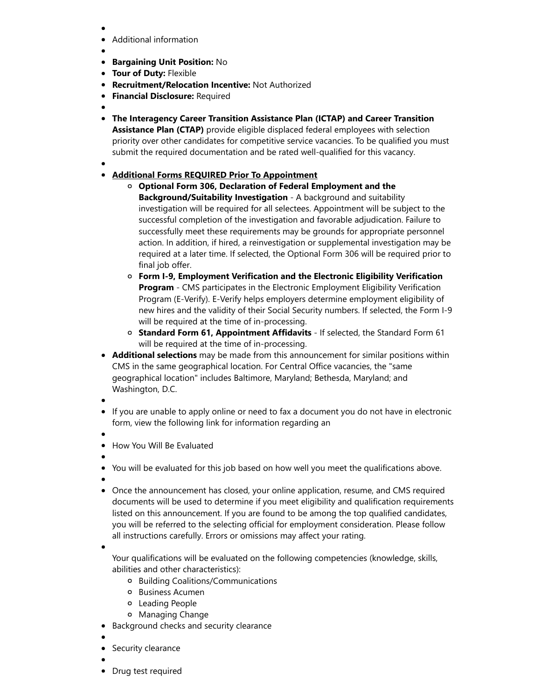- Additional information
- 
- **Bargaining Unit Position: No**
- **Tour of Duty: Flexible**
- Recruitment/Relocation Incentive: Not Authorized  $\bullet$
- **Financial Disclosure: Required**
- 
- The Interagency Career Transition Assistance Plan (ICTAP) and Career Transition

Assistance Plan (CTAP) provide eligible displaced federal employees with selection priority over other candidates for competitive service vacancies. To be qualified you must submit the required documentation and be rated well-qualified for this vacancy.

### Additional Forms REQUIRED Prior To Appointment

- Optional Form 306, Declaration of Federal Employment and the Background/Suitability Investigation - A background and suitability investigation will be required for all selectees. Appointment will be subject to the successful completion of the investigation and favorable adjudication. Failure to successfully meet these requirements may be grounds for appropriate personnel action. In addition, if hired, a reinvestigation or supplemental investigation may be required at a later time. If selected, the Optional Form 306 will be required prior to final job offer.
- Form I-9, Employment Verification and the Electronic Eligibility Verification Program - CMS participates in the Electronic Employment Eligibility Verification Program (E-Verify). E-Verify helps employers determine employment eligibility of new hires and the validity of their Social Security numbers. If selected, the Form I-9 will be required at the time of in-processing.
- $\circ$  Standard Form 61, Appointment Affidavits If selected, the Standard Form 61 will be required at the time of in-processing.
- Additional selections may be made from this announcement for similar positions within CMS in the same geographical location. For Central Office vacancies, the "same geographical location" includes Baltimore, Maryland; Bethesda, Maryland; and Washington, D.C.
- 
- If you are unable to apply online or need to fax a document you do not have in electronic form, view the following link for information regarding an
- 
- How You Will Be Evaluated
- 
- You will be evaluated for this job based on how well you meet the qualifications above.
- 
- Once the announcement has closed, your online application, resume, and CMS required documents will be used to determine if you meet eligibility and qualification requirements listed on this announcement. If you are found to be among the top qualified candidates, you will be referred to the selecting official for employment consideration. Please follow all instructions carefully. Errors or omissions may affect your rating.

Your qualifications will be evaluated on the following competencies (knowledge, skills, abilities and other characteristics):

- Building Coalitions/Communications
- o Business Acumen
- Leading People
- Managing Change
- Background checks and security clearance
- 
- Security clearance
- 
- Drug test required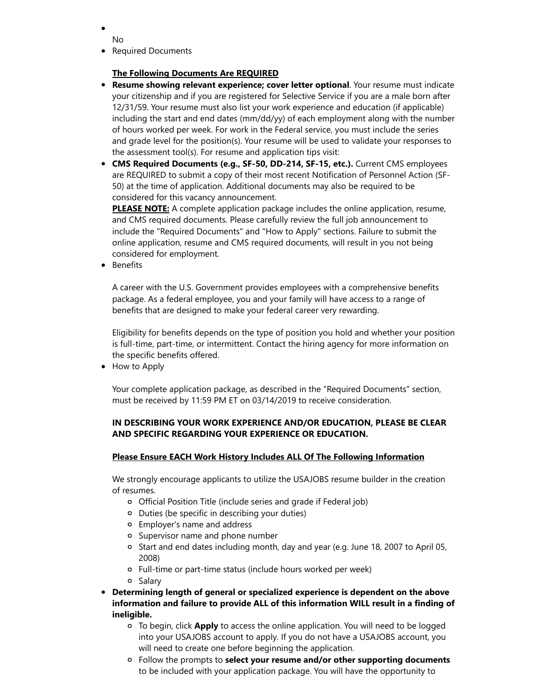- No
- Required Documents

### The Following Documents Are REQUIRED

- **Resume showing relevant experience; cover letter optional**. Your resume must indicate your citizenship and if you are registered for Selective Service if you are a male born after 12/31/59. Your resume must also list your work experience and education (if applicable) including the start and end dates (mm/dd/yy) of each employment along with the number of hours worked per week. For work in the Federal service, you must include the series and grade level for the position(s). Your resume will be used to validate your responses to the assessment tool(s). For resume and application tips visit:
- CMS Required Documents (e.g., SF-50, DD-214, SF-15, etc.). Current CMS employees are REQUIRED to submit a copy of their most recent Notification of Personnel Action (SF-50) at the time of application. Additional documents may also be required to be considered for this vacancy announcement.

PLEASE NOTE: A complete application package includes the online application, resume, and CMS required documents. Please carefully review the full job announcement to include the "Required Documents" and "How to Apply" sections. Failure to submit the online application, resume and CMS required documents, will result in you not being considered for employment.

• Benefits

A career with the U.S. Government provides employees with a comprehensive benefits package. As a federal employee, you and your family will have access to a range of benefits that are designed to make your federal career very rewarding.

Eligibility for benefits depends on the type of position you hold and whether your position is full-time, part-time, or intermittent. Contact the hiring agency for more information on the specific benefits offered.

• How to Apply

Your complete application package, as described in the "Required Documents" section, must be received by 11:59 PM ET on 03/14/2019 to receive consideration.

### IN DESCRIBING YOUR WORK EXPERIENCE AND/OR EDUCATION, PLEASE BE CLEAR AND SPECIFIC REGARDING YOUR EXPERIENCE OR EDUCATION.

#### Please Ensure EACH Work History Includes ALL Of The Following Information

We strongly encourage applicants to utilize the USAJOBS resume builder in the creation of resumes.

- Official Position Title (include series and grade if Federal job)
- Duties (be specific in describing your duties)
- Employer's name and address
- Supervisor name and phone number
- o Start and end dates including month, day and year (e.g. June 18, 2007 to April 05, 2008)
- Full-time or part-time status (include hours worked per week)
- o Salary
- Determining length of general or specialized experience is dependent on the above information and failure to provide ALL of this information WILL result in a finding of ineligible.
	- o To begin, click Apply to access the online application. You will need to be logged into your USAJOBS account to apply. If you do not have a USAJOBS account, you will need to create one before beginning the application.
	- $\circ$  Follow the prompts to select your resume and/or other supporting documents to be included with your application package. You will have the opportunity to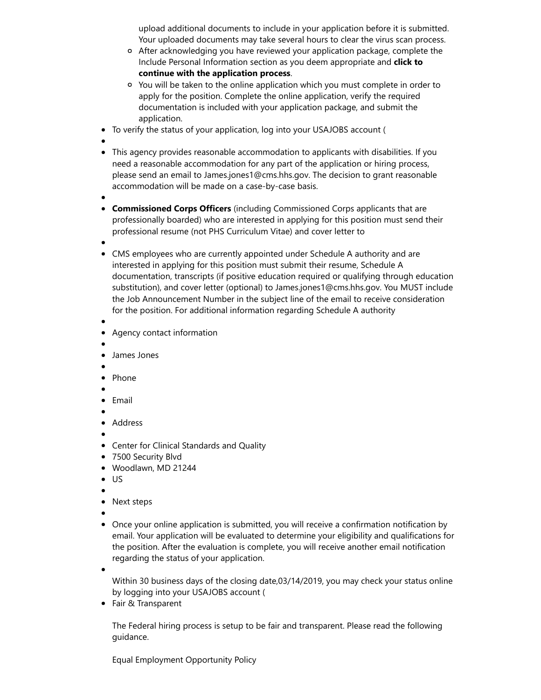upload additional documents to include in your application before it is submitted. Your uploaded documents may take several hours to clear the virus scan process.

- After acknowledging you have reviewed your application package, complete the Include Personal Information section as you deem appropriate and click to continue with the application process.
- You will be taken to the online application which you must complete in order to apply for the position. Complete the online application, verify the required documentation is included with your application package, and submit the application.
- To verify the status of your application, log into your USAJOBS account (
- 
- This agency provides reasonable accommodation to applicants with disabilities. If you need a reasonable accommodation for any part of the application or hiring process, please send an email to James.jones1@cms.hhs.gov. The decision to grant reasonable accommodation will be made on a case-by-case basis.
- 
- Commissioned Corps Officers (including Commissioned Corps applicants that are professionally boarded) who are interested in applying for this position must send their professional resume (not PHS Curriculum Vitae) and cover letter to
- 
- CMS employees who are currently appointed under Schedule A authority and are interested in applying for this position must submit their resume, Schedule A documentation, transcripts (if positive education required or qualifying through education substitution), and cover letter (optional) to James.jones1@cms.hhs.gov. You MUST include the Job Announcement Number in the subject line of the email to receive consideration for the position. For additional information regarding Schedule A authority
- Agency contact information
- 
- James Jones
- 
- Phone
- 
- Email
- Address
- 
- Center for Clinical Standards and Quality
- 7500 Security Blvd
- Woodlawn, MD 21244
- US
- 
- Next steps
- 
- Once your online application is submitted, you will receive a confirmation notification by email. Your application will be evaluated to determine your eligibility and qualifications for the position. After the evaluation is complete, you will receive another email notification regarding the status of your application.

Within 30 business days of the closing date,03/14/2019, you may check your status online by logging into your USAJOBS account (

Fair & Transparent

The Federal hiring process is setup to be fair and transparent. Please read the following guidance.

Equal Employment Opportunity Policy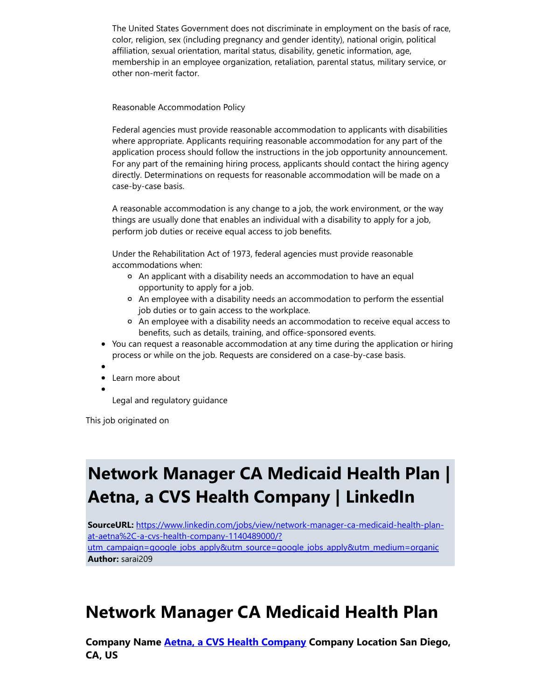The United States Government does not discriminate in employment on the basis of race, color, religion, sex (including pregnancy and gender identity), national origin, political affiliation, sexual orientation, marital status, disability, genetic information, age, membership in an employee organization, retaliation, parental status, military service, or other non-merit factor.

Reasonable Accommodation Policy

Federal agencies must provide reasonable accommodation to applicants with disabilities where appropriate. Applicants requiring reasonable accommodation for any part of the application process should follow the instructions in the job opportunity announcement. For any part of the remaining hiring process, applicants should contact the hiring agency directly. Determinations on requests for reasonable accommodation will be made on a case-by-case basis.

A reasonable accommodation is any change to a job, the work environment, or the way things are usually done that enables an individual with a disability to apply for a job, perform job duties or receive equal access to job benefits.

Under the Rehabilitation Act of 1973, federal agencies must provide reasonable accommodations when:

- An applicant with a disability needs an accommodation to have an equal opportunity to apply for a job.
- An employee with a disability needs an accommodation to perform the essential job duties or to gain access to the workplace.
- An employee with a disability needs an accommodation to receive equal access to benefits, such as details, training, and office-sponsored events.
- You can request a reasonable accommodation at any time during the application or hiring process or while on the job. Requests are considered on a case-by-case basis.
- 
- Learn more about

Legal and regulatory guidance

This job originated on

## Network Manager CA Medicaid Health Plan | Aetna, a CVS Health Company | LinkedIn

SourceURL: https://www.linkedin.com/jobs/view/network-manager-ca-medicaid-health-planat-aetna%2C-a-cvs-health-company-1140489000/? [utm\\_campaign=google\\_jobs\\_apply&utm\\_source=google\\_jobs\\_apply&utm\\_medium=organic](https://www.linkedin.com/jobs/view/network-manager-ca-medicaid-health-plan-at-aetna%2C-a-cvs-health-company-1140489000/?utm_campaign=google_jobs_apply&utm_source=google_jobs_apply&utm_medium=organic) Author: sarai209

### Network Manager CA Medicaid Health Plan

[Company](https://www.linkedin.com/company/2807/) Name **Aetna, a CVS Health Company Company Location San Diego,** CA, US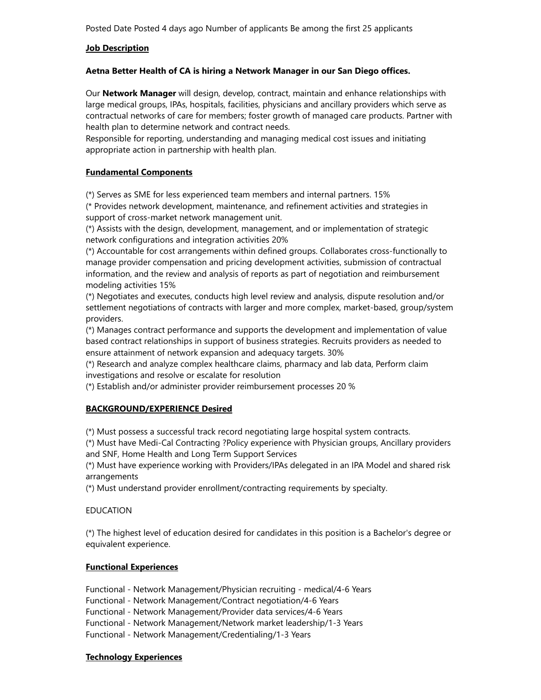Posted Date Posted 4 days ago Number of applicants Be among the first 25 applicants

### **Job Description**

### Aetna Better Health of CA is hiring a Network Manager in our San Diego offices.

Our **Network Manager** will design, develop, contract, maintain and enhance relationships with large medical groups, IPAs, hospitals, facilities, physicians and ancillary providers which serve as contractual networks of care for members; foster growth of managed care products. Partner with health plan to determine network and contract needs.

Responsible for reporting, understanding and managing medical cost issues and initiating appropriate action in partnership with health plan.

### Fundamental Components

(\*) Serves as SME for less experienced team members and internal partners. 15%

(\* Provides network development, maintenance, and refinement activities and strategies in support of cross-market network management unit.

(\*) Assists with the design, development, management, and or implementation of strategic network configurations and integration activities 20%

(\*) Accountable for cost arrangements within defined groups. Collaborates cross-functionally to manage provider compensation and pricing development activities, submission of contractual information, and the review and analysis of reports as part of negotiation and reimbursement modeling activities 15%

(\*) Negotiates and executes, conducts high level review and analysis, dispute resolution and/or settlement negotiations of contracts with larger and more complex, market-based, group/system providers.

(\*) Manages contract performance and supports the development and implementation of value based contract relationships in support of business strategies. Recruits providers as needed to ensure attainment of network expansion and adequacy targets. 30%

(\*) Research and analyze complex healthcare claims, pharmacy and lab data, Perform claim investigations and resolve or escalate for resolution

(\*) Establish and/or administer provider reimbursement processes 20 %

### BACKGROUND/EXPERIENCE Desired

(\*) Must possess a successful track record negotiating large hospital system contracts.

(\*) Must have Medi-Cal Contracting ?Policy experience with Physician groups, Ancillary providers and SNF, Home Health and Long Term Support Services

(\*) Must have experience working with Providers/IPAs delegated in an IPA Model and shared risk arrangements

(\*) Must understand provider enrollment/contracting requirements by specialty.

### EDUCATION

(\*) The highest level of education desired for candidates in this position is a Bachelor's degree or equivalent experience.

#### Functional Experiences

Functional - Network Management/Physician recruiting - medical/4-6 Years Functional - Network Management/Contract negotiation/4-6 Years Functional - Network Management/Provider data services/4-6 Years Functional - Network Management/Network market leadership/1-3 Years Functional - Network Management/Credentialing/1-3 Years

#### Technology Experiences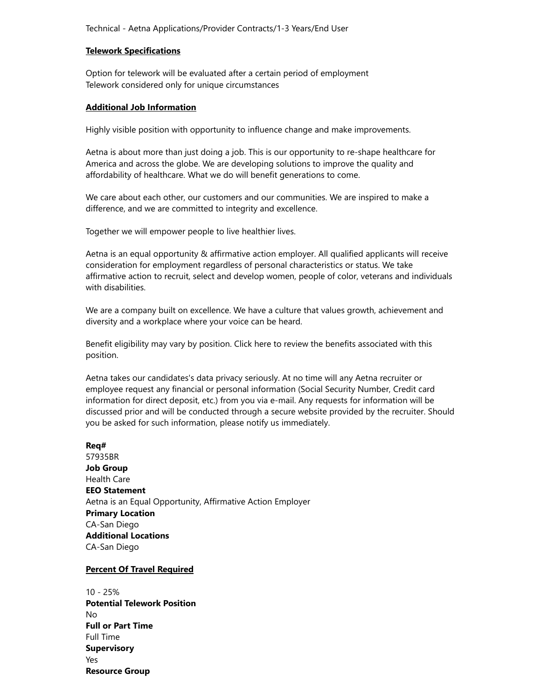#### Telework Specifications

Option for telework will be evaluated after a certain period of employment Telework considered only for unique circumstances

#### Additional Job Information

Highly visible position with opportunity to influence change and make improvements.

Aetna is about more than just doing a job. This is our opportunity to re-shape healthcare for America and across the globe. We are developing solutions to improve the quality and affordability of healthcare. What we do will benefit generations to come.

We care about each other, our customers and our communities. We are inspired to make a difference, and we are committed to integrity and excellence.

Together we will empower people to live healthier lives.

Aetna is an equal opportunity & affirmative action employer. All qualified applicants will receive consideration for employment regardless of personal characteristics or status. We take affirmative action to recruit, select and develop women, people of color, veterans and individuals with disabilities.

We are a company built on excellence. We have a culture that values growth, achievement and diversity and a workplace where your voice can be heard.

Benefit eligibility may vary by position. Click here to review the benefits associated with this position.

Aetna takes our candidates's data privacy seriously. At no time will any Aetna recruiter or employee request any financial or personal information (Social Security Number, Credit card information for direct deposit, etc.) from you via e-mail. Any requests for information will be discussed prior and will be conducted through a secure website provided by the recruiter. Should you be asked for such information, please notify us immediately.

#### Req#

57935BR Job Group Health Care EEO Statement Aetna is an Equal Opportunity, Affirmative Action Employer Primary Location CA-San Diego Additional Locations CA-San Diego

#### Percent Of Travel Required

10 - 25% Potential Telework Position No Full or Part Time Full Time **Supervisory** Yes Resource Group